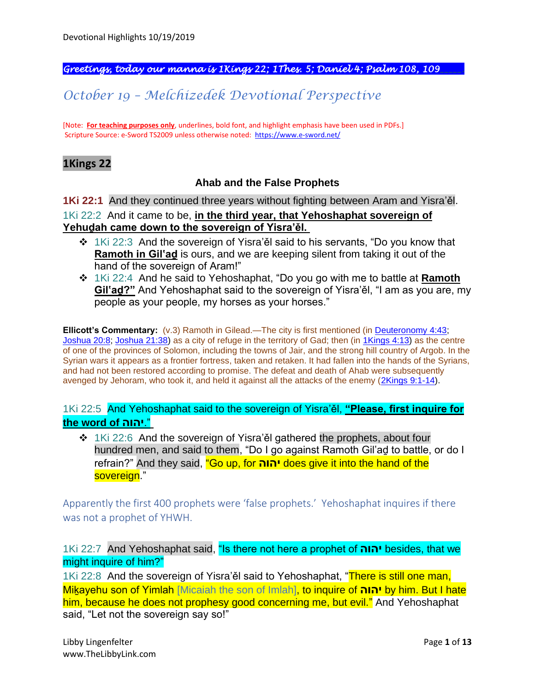#### *Greetings, today our manna is 1Kings 22; 1Thes. 5; Daniel 4; Psalm 108, 109\_\_\_\_\_.*

# *October 19 – Melchizedek Devotional Perspective*

[Note: **For teaching purposes only**, underlines, bold font, and highlight emphasis have been used in PDFs.] Scripture Source: e-Sword TS2009 unless otherwise noted: <https://www.e-sword.net/>

### **1Kings 22**

### **Ahab and the False Prophets**

**1Ki 22:1** And they continued three years without fighting between Aram and Yisra'ěl. 1Ki 22:2 And it came to be, **in the third year, that Yehoshaphat sovereign of Yehuḏah came down to the sovereign of Yisra'ěl.**

- ❖ 1Ki 22:3 And the sovereign of Yisra'ěl said to his servants, "Do you know that **Ramoth in Gil'aḏ** is ours, and we are keeping silent from taking it out of the hand of the sovereign of Aram!"
- ❖ 1Ki 22:4 And he said to Yehoshaphat, "Do you go with me to battle at **Ramoth Gil'aḏ?"** And Yehoshaphat said to the sovereign of Yisra'ěl, "I am as you are, my people as your people, my horses as your horses."

**Ellicott's Commentary:** (v.3) Ramoth in Gilead.—The city is first mentioned (in [Deuteronomy 4:43;](https://biblehub.com/deuteronomy/4-43.htm) [Joshua 20:8;](https://biblehub.com/joshua/20-8.htm) [Joshua 21:38\)](https://biblehub.com/joshua/21-38.htm) as a city of refuge in the territory of Gad; then (in [1Kings 4:13\)](https://biblehub.com/1_kings/4-13.htm) as the centre of one of the provinces of Solomon, including the towns of Jair, and the strong hill country of Argob. In the Syrian wars it appears as a frontier fortress, taken and retaken. It had fallen into the hands of the Syrians, and had not been restored according to promise. The defeat and death of Ahab were subsequently avenged by Jehoram, who took it, and held it against all the attacks of the enemy [\(2Kings 9:1-14\)](https://biblehub.com/context/2_kings/9-1.htm).

1Ki 22:5 And Yehoshaphat said to the sovereign of Yisra'ěl, **"Please, first inquire for the word of יהוה**."

❖ 1Ki 22:6 And the sovereign of Yisra'ěl gathered the prophets, about four hundred men, and said to them, "Do I go against Ramoth Gil'aḏ to battle, or do I refrain?" And they said, "Go up, for **יהוה** does give it into the hand of the sovereign."

Apparently the first 400 prophets were 'false prophets.' Yehoshaphat inquires if there was not a prophet of YHWH.

1Ki 22:7 And Yehoshaphat said, "Is there not here a prophet of **יהוה** besides, that we might inquire of him?"

1Ki 22:8 And the sovereign of Yisra'ěl said to Yehoshaphat, "There is still one man, Miḵayehu son of Yimlah [Micaiah the son of Imlah], to inquire of **יהוה** by him. But I hate him, because he does not prophesy good concerning me, but evil." And Yehoshaphat said, "Let not the sovereign say so!"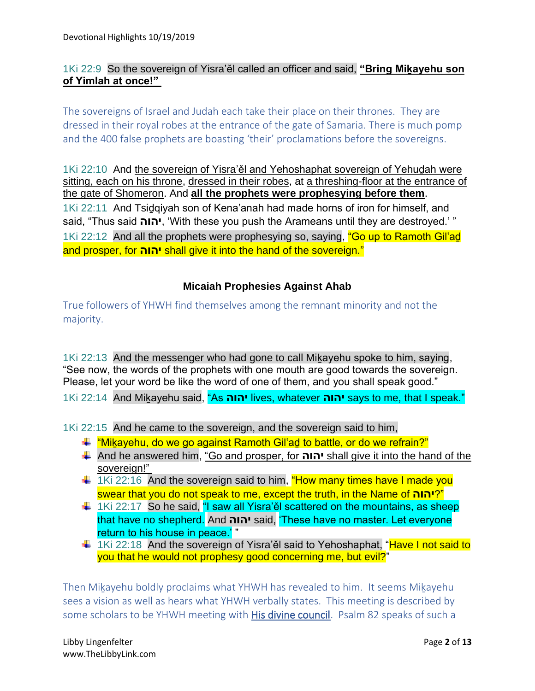## 1Ki 22:9 So the sovereign of Yisra'ěl called an officer and said, **"Bring Miḵayehu son of Yimlah at once!"**

The sovereigns of Israel and Judah each take their place on their thrones. They are dressed in their royal robes at the entrance of the gate of Samaria. There is much pomp and the 400 false prophets are boasting 'their' proclamations before the sovereigns.

1Ki 22:10 And the sovereign of Yisra'ěl and Yehoshaphat sovereign of Yehuḏah were sitting, each on his throne, dressed in their robes, at a threshing-floor at the entrance of the gate of Shomeron. And **all the prophets were prophesying before them**. 1Ki 22:11 And Tsiḏqiyah son of Kena'anah had made horns of iron for himself, and said, "Thus said **יהוה**,' With these you push the Arameans until they are destroyed.' " 1Ki 22:12 And all the prophets were prophesying so, saying, "Go up to Ramoth Gil'ad and prosper, for **יהוה** shall give it into the hand of the sovereign."

### **Micaiah Prophesies Against Ahab**

True followers of YHWH find themselves among the remnant minority and not the majority.

1Ki 22:13 And the messenger who had gone to call Mikayehu spoke to him, saying, "See now, the words of the prophets with one mouth are good towards the sovereign. Please, let your word be like the word of one of them, and you shall speak good."

1Ki 22:14 And Miḵayehu said, "As **יהוה** lives, whatever **יהוה** says to me, that I speak."

1Ki 22:15 And he came to the sovereign, and the sovereign said to him,

- $\ddot{+}$  "Mikayehu, do we go against Ramoth Gil'ad to battle, or do we refrain?"
- And he answered him, "Go and prosper, for **יהוה** shall give it into the hand of the sovereign!"
- $\frac{1}{2}$  1Ki 22:16 And the sovereign said to him, "How many times have I made you swear that you do not speak to me, except the truth, in the Name of **יהוה**"?
- $\frac{1}{2}$  1Ki 22:17 So he said, "I saw all Yisra'ěl scattered on the mountains, as sheep that have no shepherd. And **יהוה** said, 'These have no master. Let everyone return to his house in peace.'"
- $\pm$  1Ki 22:18 And the sovereign of Yisra'ěl said to Yehoshaphat, "Have I not said to you that he would not prophesy good concerning me, but evil?"

Then Miḵayehu boldly proclaims what YHWH has revealed to him. It seems Miḵayehu sees a vision as well as hears what YHWH verbally states. This meeting is described by some scholars to be YHWH meeting with His divine council. Psalm 82 speaks of such a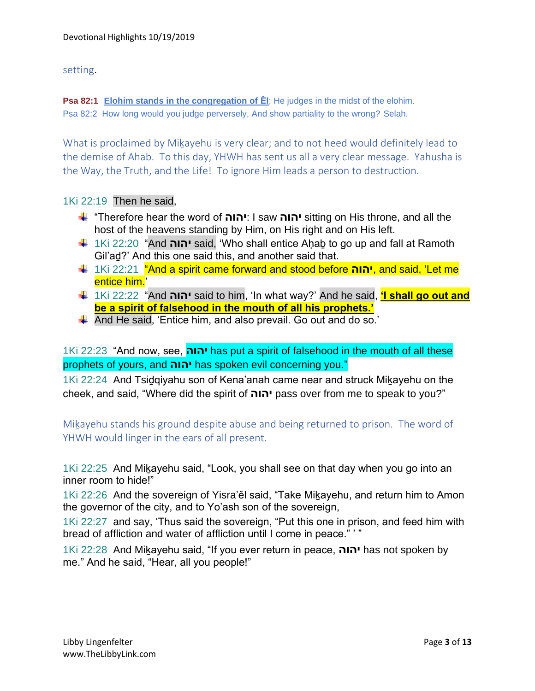### setting.

**Psa 82:1 Elohim stands in the congregation of Ěl**; He judges in the midst of the elohim. Psa 82:2 How long would you judge perversely, And show partiality to the wrong? Selah.

What is proclaimed by Mikayehu is very clear; and to not heed would definitely lead to the demise of Ahab. To this day, YHWH has sent us all a very clear message. Yahusha is the Way, the Truth, and the Life! To ignore Him leads a person to destruction.

### 1Ki 22:19 Then he said,

- "Therefore hear the word of **יהוה**: I saw **יהוה** sitting on His throne, and all the host of the heavens standing by Him, on His right and on His left.
- 1Ki 22:20 "And **יהוה** said, 'Who shall entice Aḥaḇ to go up and fall at Ramoth Gil'aḏ?' And this one said this, and another said that.
- 1Ki 22:21 "And a spirit came forward and stood before **יהוה**, and said, 'Let me entice him.'
- 1Ki 22:22 "And **יהוה** said to him, 'In what way?' And he said, **'I shall go out and be a spirit of falsehood in the mouth of all his prophets.'**
- And He said, 'Entice him, and also prevail. Go out and do so.'

## 1Ki 22:23 "And now, see, **יהוה** has put a spirit of falsehood in the mouth of all these prophets of yours, and **יהוה** has spoken evil concerning you."

1Ki 22:24 And Tsidgiyahu son of Kena'anah came near and struck Mikayehu on the cheek, and said, "Where did the spirit of **יהוה** pass over from me to speak to you?"

Mikayehu stands his ground despite abuse and being returned to prison. The word of YHWH would linger in the ears of all present.

1Ki 22:25 And Miḵayehu said, "Look, you shall see on that day when you go into an inner room to hide!"

1Ki 22:26 And the sovereign of Yisra'ěl said, "Take Mikayehu, and return him to Amon the governor of the city, and to Yo'ash son of the sovereign,

1Ki 22:27 and say, 'Thus said the sovereign, "Put this one in prison, and feed him with bread of affliction and water of affliction until I come in peace." ' "

1Ki 22:28 And Miḵayehu said, "If you ever return in peace, **יהוה** has not spoken by me." And he said, "Hear, all you people!"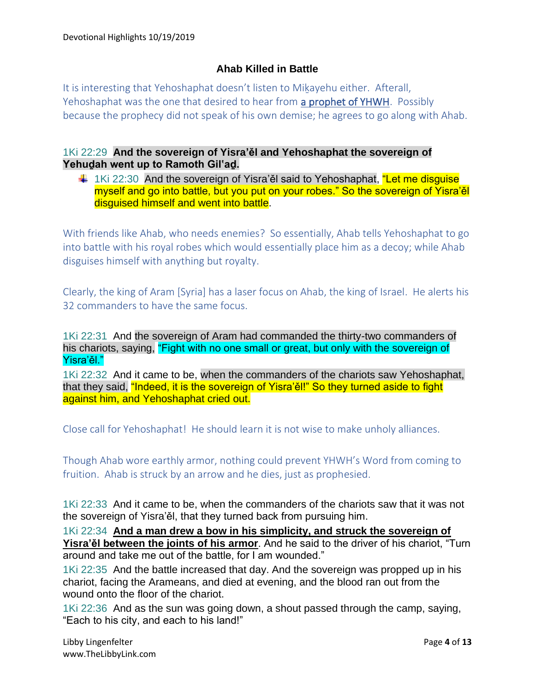## **Ahab Killed in Battle**

It is interesting that Yehoshaphat doesn't listen to Mikayehu either. Afterall, Yehoshaphat was the one that desired to hear from a prophet of YHWH. Possibly because the prophecy did not speak of his own demise; he agrees to go along with Ahab.

### 1Ki 22:29 **And the sovereign of Yisra'ěl and Yehoshaphat the sovereign of Yehuḏah went up to Ramoth Gil'aḏ.**

 $\pm$  1Ki 22:30 And the sovereign of Yisra'ěl said to Yehoshaphat, "Let me disguise myself and go into battle, but you put on your robes." So the sovereign of Yisra'ěl disguised himself and went into battle.

With friends like Ahab, who needs enemies? So essentially, Ahab tells Yehoshaphat to go into battle with his royal robes which would essentially place him as a decoy; while Ahab disguises himself with anything but royalty.

Clearly, the king of Aram [Syria] has a laser focus on Ahab, the king of Israel. He alerts his 32 commanders to have the same focus.

1Ki 22:31 And the sovereign of Aram had commanded the thirty-two commanders of his chariots, saying, "Fight with no one small or great, but only with the sovereign of Yisra'ěl."

1Ki 22:32 And it came to be, when the commanders of the chariots saw Yehoshaphat, that they said, "Indeed, it is the sovereign of Yisra'ěl!" So they turned aside to fight against him, and Yehoshaphat cried out.

Close call for Yehoshaphat! He should learn it is not wise to make unholy alliances.

Though Ahab wore earthly armor, nothing could prevent YHWH's Word from coming to fruition. Ahab is struck by an arrow and he dies, just as prophesied.

1Ki 22:33 And it came to be, when the commanders of the chariots saw that it was not the sovereign of Yisra'ěl, that they turned back from pursuing him.

1Ki 22:34 **And a man drew a bow in his simplicity, and struck the sovereign of Yisra'ěl between the joints of his armor**. And he said to the driver of his chariot, "Turn around and take me out of the battle, for I am wounded."

1Ki 22:35 And the battle increased that day. And the sovereign was propped up in his chariot, facing the Arameans, and died at evening, and the blood ran out from the wound onto the floor of the chariot.

1Ki 22:36 And as the sun was going down, a shout passed through the camp, saying, "Each to his city, and each to his land!"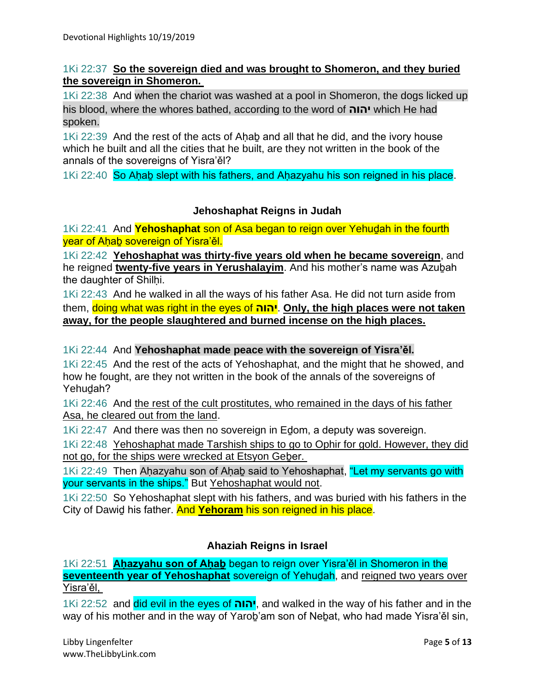### 1Ki 22:37 **So the sovereign died and was brought to Shomeron, and they buried the sovereign in Shomeron.**

1Ki 22:38 And when the chariot was washed at a pool in Shomeron, the dogs licked up his blood, where the whores bathed, according to the word of **יהוה** which He had spoken.

1Ki 22:39 And the rest of the acts of Ahab and all that he did, and the ivory house which he built and all the cities that he built, are they not written in the book of the annals of the sovereigns of Yisra'ěl?

1Ki 22:40 So Ahab slept with his fathers, and Ahazyahu his son reigned in his place.

### **Jehoshaphat Reigns in Judah**

1Ki 22:41 And **Yehoshaphat** son of Asa began to reign over Yehuḏah in the fourth vear of Ahab sovereign of Yisra'ěl.

1Ki 22:42 **Yehoshaphat was thirty-five years old when he became sovereign**, and he reigned **twenty-five years in Yerushalayim**. And his mother's name was Azuḇah the daughter of Shilhi.

1Ki 22:43 And he walked in all the ways of his father Asa. He did not turn aside from them, doing what was right in the eyes of **יהוה**. **Only, the high places were not taken away, for the people slaughtered and burned incense on the high places.**

### 1Ki 22:44 And **Yehoshaphat made peace with the sovereign of Yisra'ěl.**

1Ki 22:45 And the rest of the acts of Yehoshaphat, and the might that he showed, and how he fought, are they not written in the book of the annals of the sovereigns of Yehudah?

1Ki 22:46 And the rest of the cult prostitutes, who remained in the days of his father Asa, he cleared out from the land.

1Ki 22:47 And there was then no sovereign in Edom, a deputy was sovereign.

1Ki 22:48 Yehoshaphat made Tarshish ships to go to Ophir for gold. However, they did not go, for the ships were wrecked at Etsyon Geber.

1Ki 22:49 Then Ahazyahu son of Ahab said to Yehoshaphat, "Let my servants go with your servants in the ships." But Yehoshaphat would not.

1Ki 22:50 So Yehoshaphat slept with his fathers, and was buried with his fathers in the City of Dawiḏ his father. And **Yehoram** his son reigned in his place.

### **Ahaziah Reigns in Israel**

1Ki 22:51 **Aḥazyahu son of Aḥaḇ** began to reign over Yisra'ěl in Shomeron in the **seventeenth year of Yehoshaphat** sovereign of Yehuḏah, and reigned two years over Yisra'ěl,

1Ki 22:52 and did evil in the eyes of **יהוה**, and walked in the way of his father and in the way of his mother and in the way of Yarob'am son of Nebat, who had made Yisra'ěl sin,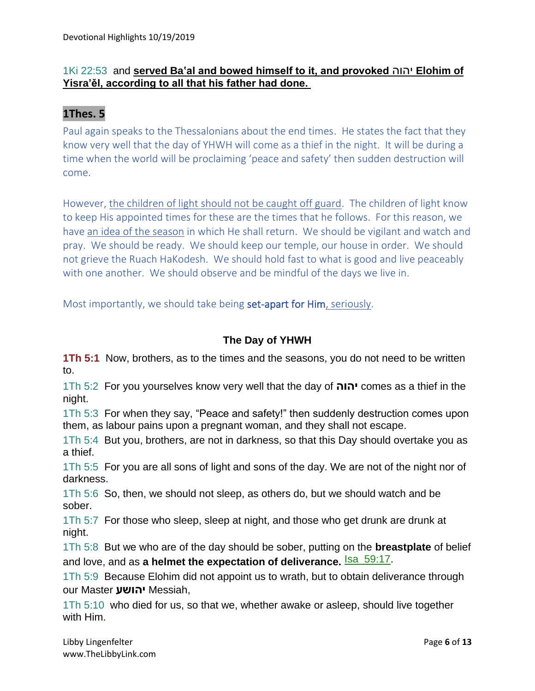## 1Ki 22:53 and **served Ba'al and bowed himself to it, and provoked** יהוה **Elohim of Yisra'ěl, according to all that his father had done.**

## **1Thes. 5**

Paul again speaks to the Thessalonians about the end times. He states the fact that they know very well that the day of YHWH will come as a thief in the night. It will be during a time when the world will be proclaiming 'peace and safety' then sudden destruction will come.

However, the children of light should not be caught off guard. The children of light know to keep His appointed times for these are the times that he follows. For this reason, we have an idea of the season in which He shall return. We should be vigilant and watch and pray. We should be ready. We should keep our temple, our house in order. We should not grieve the Ruach HaKodesh. We should hold fast to what is good and live peaceably with one another. We should observe and be mindful of the days we live in.

Most importantly, we should take being set-apart for Him, seriously.

## **The Day of YHWH**

**1Th 5:1** Now, brothers, as to the times and the seasons, you do not need to be written to.

1Th 5:2 For you yourselves know very well that the day of **יהוה** comes as a thief in the night.

1Th 5:3 For when they say, "Peace and safety!" then suddenly destruction comes upon them, as labour pains upon a pregnant woman, and they shall not escape.

1Th 5:4 But you, brothers, are not in darkness, so that this Day should overtake you as a thief.

1Th 5:5 For you are all sons of light and sons of the day. We are not of the night nor of darkness.

1Th 5:6 So, then, we should not sleep, as others do, but we should watch and be sober.

1Th 5:7 For those who sleep, sleep at night, and those who get drunk are drunk at night.

1Th 5:8 But we who are of the day should be sober, putting on the **breastplate** of belief and love, and as a helmet the expectation of deliverance. **Isa\_59:17**.

1Th 5:9 Because Elohim did not appoint us to wrath, but to obtain deliverance through our Master **יהושע** Messiah,

1Th 5:10 who died for us, so that we, whether awake or asleep, should live together with Him.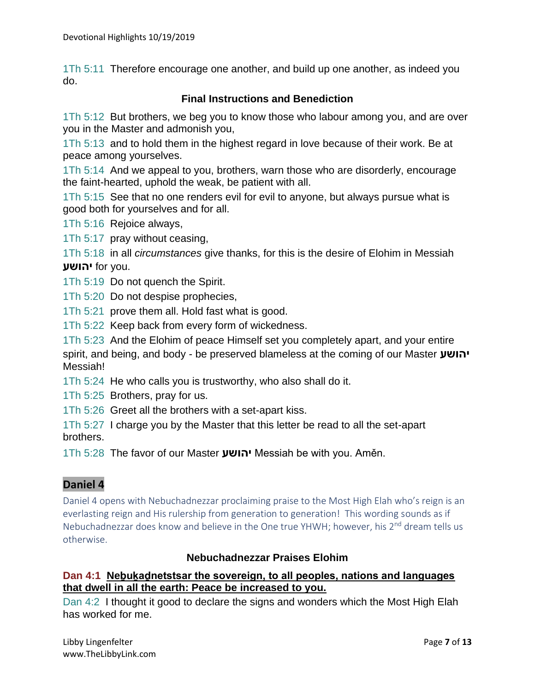1Th 5:11 Therefore encourage one another, and build up one another, as indeed you do.

### **Final Instructions and Benediction**

1Th 5:12 But brothers, we beg you to know those who labour among you, and are over you in the Master and admonish you,

1Th 5:13 and to hold them in the highest regard in love because of their work. Be at peace among yourselves.

1Th 5:14 And we appeal to you, brothers, warn those who are disorderly, encourage the faint-hearted, uphold the weak, be patient with all.

1Th 5:15 See that no one renders evil for evil to anyone, but always pursue what is good both for yourselves and for all.

1Th 5:16 Rejoice always,

1Th 5:17 pray without ceasing,

1Th 5:18 in all *circumstances* give thanks, for this is the desire of Elohim in Messiah **יהושע** for you.

1Th 5:19 Do not quench the Spirit.

1Th 5:20 Do not despise prophecies,

1Th 5:21 prove them all. Hold fast what is good.

1Th 5:22 Keep back from every form of wickedness.

1Th 5:23 And the Elohim of peace Himself set you completely apart, and your entire spirit, and being, and body - be preserved blameless at the coming of our Master **יהושע** Messiah!

1Th 5:24 He who calls you is trustworthy, who also shall do it.

1Th 5:25 Brothers, pray for us.

1Th 5:26 Greet all the brothers with a set-apart kiss.

1Th 5:27 I charge you by the Master that this letter be read to all the set-apart brothers.

1Th 5:28 The favor of our Master **יהושע** Messiah be with you. Aměn.

### **Daniel 4**

Daniel 4 opens with Nebuchadnezzar proclaiming praise to the Most High Elah who's reign is an everlasting reign and His rulership from generation to generation! This wording sounds as if Nebuchadnezzar does know and believe in the One true YHWH; however, his 2<sup>nd</sup> dream tells us otherwise.

### **Nebuchadnezzar Praises Elohim**

### **Dan 4:1 Neḇuḵaḏnetstsar the sovereign, to all peoples, nations and languages that dwell in all the earth: Peace be increased to you.**

Dan 4:2 I thought it good to declare the signs and wonders which the Most High Elah has worked for me.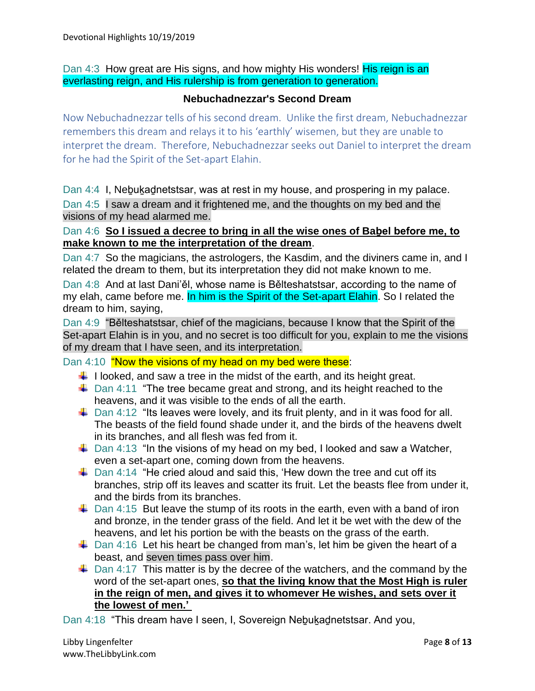Dan 4:3 How great are His signs, and how mighty His wonders! His reign is an everlasting reign, and His rulership is from generation to generation.

#### **Nebuchadnezzar's Second Dream**

Now Nebuchadnezzar tells of his second dream. Unlike the first dream, Nebuchadnezzar remembers this dream and relays it to his 'earthly' wisemen, but they are unable to interpret the dream. Therefore, Nebuchadnezzar seeks out Daniel to interpret the dream for he had the Spirit of the Set-apart Elahin.

Dan 4:4 I, Nebukad netstsar, was at rest in my house, and prospering in my palace.

Dan 4:5 I saw a dream and it frightened me, and the thoughts on my bed and the visions of my head alarmed me.

### Dan 4:6 **So I issued a decree to bring in all the wise ones of Baḇel before me, to make known to me the interpretation of the dream**.

Dan 4:7 So the magicians, the astrologers, the Kasdim, and the diviners came in, and I related the dream to them, but its interpretation they did not make known to me.

Dan 4:8 And at last Dani'ěl, whose name is Bělteshatstsar, according to the name of my elah, came before me. In him is the Spirit of the Set-apart Elahin. So I related the dream to him, saying,

Dan 4:9 "Bělteshatstsar, chief of the magicians, because I know that the Spirit of the Set-apart Elahin is in you, and no secret is too difficult for you, explain to me the visions of my dream that I have seen, and its interpretation.

### Dan 4:10 "Now the visions of my head on my bed were these:

- $\downarrow$  I looked, and saw a tree in the midst of the earth, and its height great.
- $\downarrow$  Dan 4:11 "The tree became great and strong, and its height reached to the heavens, and it was visible to the ends of all the earth.
- $\ddot{\bullet}$  Dan 4:12 "Its leaves were lovely, and its fruit plenty, and in it was food for all. The beasts of the field found shade under it, and the birds of the heavens dwelt in its branches, and all flesh was fed from it.
- $\downarrow$  Dan 4:13 "In the visions of my head on my bed, I looked and saw a Watcher, even a set-apart one, coming down from the heavens.
- $\ddot$  Dan 4:14 "He cried aloud and said this, 'Hew down the tree and cut off its branches, strip off its leaves and scatter its fruit. Let the beasts flee from under it, and the birds from its branches.
- $\ddot{\phantom{1}}$  Dan 4:15 But leave the stump of its roots in the earth, even with a band of iron and bronze, in the tender grass of the field. And let it be wet with the dew of the heavens, and let his portion be with the beasts on the grass of the earth.
- $\ddot{\bullet}$  Dan 4:16 Let his heart be changed from man's, let him be given the heart of a beast, and seven times pass over him.
- $\downarrow$  Dan 4:17 This matter is by the decree of the watchers, and the command by the word of the set-apart ones, **so that the living know that the Most High is ruler in the reign of men, and gives it to whomever He wishes, and sets over it the lowest of men.'**

Dan 4:18 "This dream have I seen, I, Sovereign Nebukadnetstsar. And you,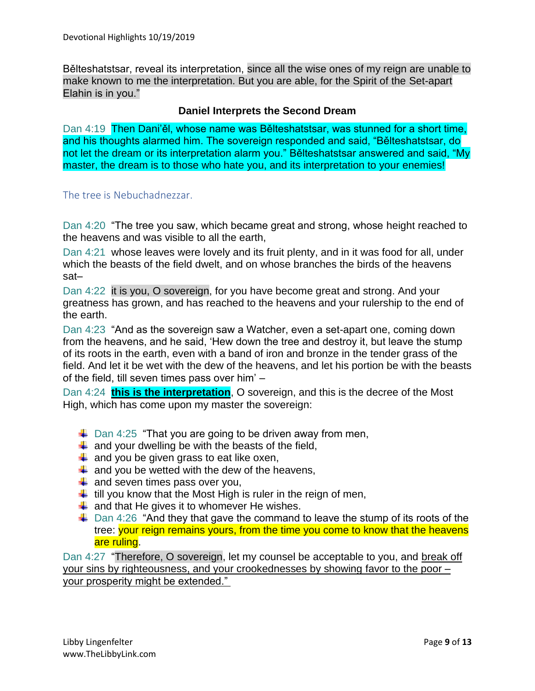Bělteshatstsar, reveal its interpretation, since all the wise ones of my reign are unable to make known to me the interpretation. But you are able, for the Spirit of the Set-apart Elahin is in you."

### **Daniel Interprets the Second Dream**

Dan 4:19 Then Dani'ěl, whose name was Bělteshatstsar, was stunned for a short time, and his thoughts alarmed him. The sovereign responded and said, "Bělteshatstsar, do not let the dream or its interpretation alarm you." Bělteshatstsar answered and said, "My master, the dream is to those who hate you, and its interpretation to your enemies!

The tree is Nebuchadnezzar.

Dan 4:20 "The tree you saw, which became great and strong, whose height reached to the heavens and was visible to all the earth,

Dan 4:21 whose leaves were lovely and its fruit plenty, and in it was food for all, under which the beasts of the field dwelt, and on whose branches the birds of the heavens sat–

Dan 4:22 it is you, O sovereign, for you have become great and strong. And your greatness has grown, and has reached to the heavens and your rulership to the end of the earth.

Dan 4:23 "And as the sovereign saw a Watcher, even a set-apart one, coming down from the heavens, and he said, 'Hew down the tree and destroy it, but leave the stump of its roots in the earth, even with a band of iron and bronze in the tender grass of the field. And let it be wet with the dew of the heavens, and let his portion be with the beasts of the field, till seven times pass over him' –

Dan 4:24 **this is the interpretation**, O sovereign, and this is the decree of the Most High, which has come upon my master the sovereign:

- $\downarrow$  Dan 4:25 "That you are going to be driven away from men,
- $\downarrow$  and your dwelling be with the beasts of the field,
- $\frac{1}{2}$  and you be given grass to eat like oxen,
- $\downarrow$  and you be wetted with the dew of the heavens,
- $\downarrow$  and seven times pass over you,
- $\ddot{\phantom{1}}$  till you know that the Most High is ruler in the reign of men,
- $\ddot{*}$  and that He gives it to whomever He wishes.
- $\ddot$  Dan 4:26 "And they that gave the command to leave the stump of its roots of the tree: your reign remains yours, from the time you come to know that the heavens are ruling.

Dan 4:27 "Therefore, O sovereign, let my counsel be acceptable to you, and break off your sins by righteousness, and your crookednesses by showing favor to the poor – your prosperity might be extended."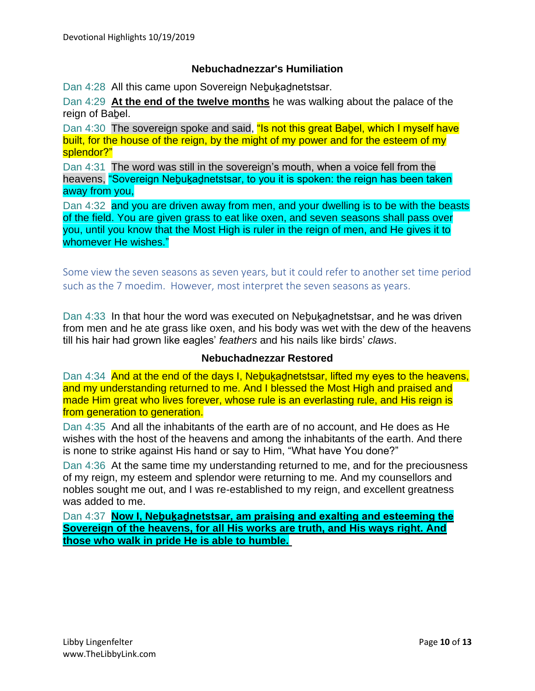### **Nebuchadnezzar's Humiliation**

Dan 4:28 All this came upon Sovereign Nebukadnetstsar.

Dan 4:29 **At the end of the twelve months** he was walking about the palace of the reign of Baḇel.

Dan 4:30 The sovereign spoke and said, "Is not this great Babel, which I myself have built, for the house of the reign, by the might of my power and for the esteem of my splendor?"

Dan 4:31 The word was still in the sovereign's mouth, when a voice fell from the heavens, "Sovereign Nebukadnetstsar, to you it is spoken: the reign has been taken away from you,

Dan 4:32 and you are driven away from men, and your dwelling is to be with the beasts of the field. You are given grass to eat like oxen, and seven seasons shall pass over you, until you know that the Most High is ruler in the reign of men, and He gives it to whomever He wishes."

Some view the seven seasons as seven years, but it could refer to another set time period such as the 7 moedim. However, most interpret the seven seasons as years.

Dan 4:33 In that hour the word was executed on Nebukadnetstsar, and he was driven from men and he ate grass like oxen, and his body was wet with the dew of the heavens till his hair had grown like eagles' *feathers* and his nails like birds' *claws*.

#### **Nebuchadnezzar Restored**

Dan 4:34 And at the end of the days I, Nebukadnetstsar, lifted my eyes to the heavens, and my understanding returned to me. And I blessed the Most High and praised and made Him great who lives forever, whose rule is an everlasting rule, and His reign is from generation to generation.

Dan 4:35 And all the inhabitants of the earth are of no account, and He does as He wishes with the host of the heavens and among the inhabitants of the earth. And there is none to strike against His hand or say to Him, "What have You done?"

Dan 4:36 At the same time my understanding returned to me, and for the preciousness of my reign, my esteem and splendor were returning to me. And my counsellors and nobles sought me out, and I was re-established to my reign, and excellent greatness was added to me.

Dan 4:37 **Now I, Neḇuḵaḏnetstsar, am praising and exalting and esteeming the Sovereign of the heavens, for all His works are truth, and His ways right. And those who walk in pride He is able to humble.**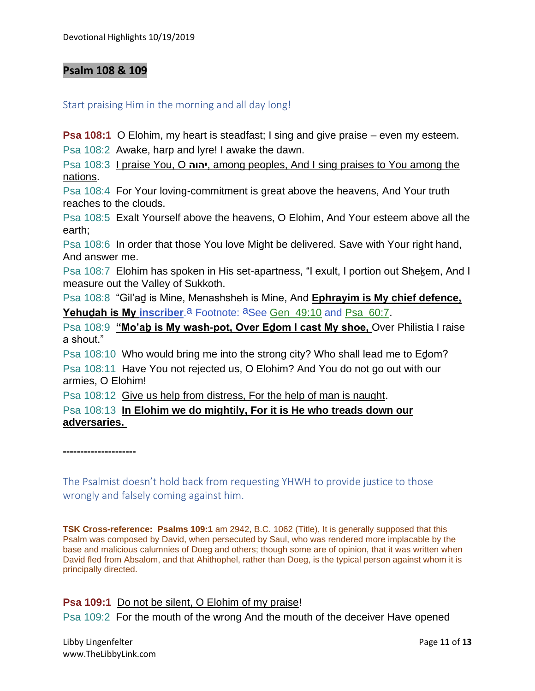### **Psalm 108 & 109**

#### Start praising Him in the morning and all day long!

**Psa 108:1** O Elohim, my heart is steadfast; I sing and give praise – even my esteem.

Psa 108:2 Awake, harp and lyre! I awake the dawn.

Psa 108:3 I praise You, O **יהוה**, among peoples, And I sing praises to You among the nations.

Psa 108:4 For Your loving-commitment is great above the heavens, And Your truth reaches to the clouds.

Psa 108:5 Exalt Yourself above the heavens, O Elohim, And Your esteem above all the earth;

Psa 108:6 In order that those You love Might be delivered. Save with Your right hand, And answer me.

Psa 108:7 Elohim has spoken in His set-apartness, "I exult, I portion out Shekem, And I measure out the Valley of Sukkoth.

Psa 108:8 "Gil'aḏ is Mine, Menashsheh is Mine, And **Ephrayim is My chief defence, Yehudah is My inscriber.**<sup>a</sup> Footnote: <sup>a</sup>See Gen 49:10 and Psa 60:7.

Psa 108:9 **"Mo'aḇ is My wash-pot, Over Eḏom I cast My shoe,** Over Philistia I raise a shout."

Psa 108:10 Who would bring me into the strong city? Who shall lead me to Eḏom? Psa 108:11 Have You not rejected us, O Elohim? And You do not go out with our armies, O Elohim!

Psa 108:12 Give us help from distress, For the help of man is naught.

Psa 108:13 **In Elohim we do mightily, For it is He who treads down our adversaries.**

**---------------------**

The Psalmist doesn't hold back from requesting YHWH to provide justice to those wrongly and falsely coming against him.

**TSK Cross-reference: Psalms 109:1** am 2942, B.C. 1062 (Title), It is generally supposed that this Psalm was composed by David, when persecuted by Saul, who was rendered more implacable by the base and malicious calumnies of Doeg and others; though some are of opinion, that it was written when David fled from Absalom, and that Ahithophel, rather than Doeg, is the typical person against whom it is principally directed.

**Psa 109:1** Do not be silent, O Elohim of my praise!

Psa 109:2 For the mouth of the wrong And the mouth of the deceiver Have opened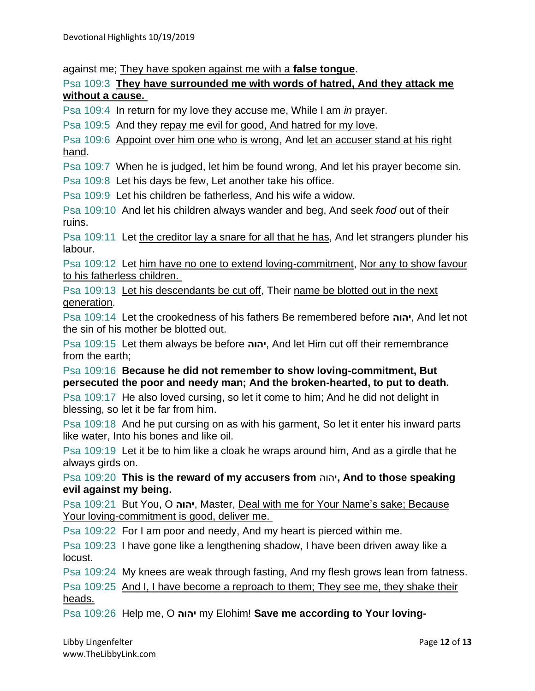against me; They have spoken against me with a **false tongue**.

Psa 109:3 **They have surrounded me with words of hatred, And they attack me without a cause.**

Psa 109:4 In return for my love they accuse me, While I am *in* prayer.

Psa 109:5 And they repay me evil for good, And hatred for my love.

Psa 109:6 Appoint over him one who is wrong, And let an accuser stand at his right hand.

Psa 109:7 When he is judged, let him be found wrong, And let his prayer become sin.

Psa 109:8 Let his days be few, Let another take his office.

Psa 109:9 Let his children be fatherless, And his wife a widow.

Psa 109:10 And let his children always wander and beg, And seek *food* out of their ruins.

Psa 109:11 Let the creditor lay a snare for all that he has, And let strangers plunder his labour.

Psa 109:12 Let him have no one to extend loving-commitment, Nor any to show favour to his fatherless children.

Psa 109:13 Let his descendants be cut off, Their name be blotted out in the next generation.

Psa 109:14 Let the crookedness of his fathers Be remembered before **יהוה**, And let not the sin of his mother be blotted out.

Psa 109:15 Let them always be before **יהוה**, And let Him cut off their remembrance from the earth;

Psa 109:16 **Because he did not remember to show loving-commitment, But persecuted the poor and needy man; And the broken-hearted, to put to death.**

Psa 109:17 He also loved cursing, so let it come to him; And he did not delight in blessing, so let it be far from him.

Psa 109:18 And he put cursing on as with his garment, So let it enter his inward parts like water, Into his bones and like oil.

Psa 109:19 Let it be to him like a cloak he wraps around him, And as a girdle that he always girds on.

Psa 109:20 **This is the reward of my accusers from** יהוה**, And to those speaking evil against my being.**

Psa 109:21 But You, O **יהוה**, Master, Deal with me for Your Name's sake; Because Your loving-commitment is good, deliver me.

Psa 109:22 For I am poor and needy, And my heart is pierced within me.

Psa 109:23 I have gone like a lengthening shadow, I have been driven away like a locust.

Psa 109:24 My knees are weak through fasting, And my flesh grows lean from fatness.

Psa 109:25 And I, I have become a reproach to them; They see me, they shake their heads.

Psa 109:26 Help me, O **יהוה** my Elohim! **Save me according to Your loving-**